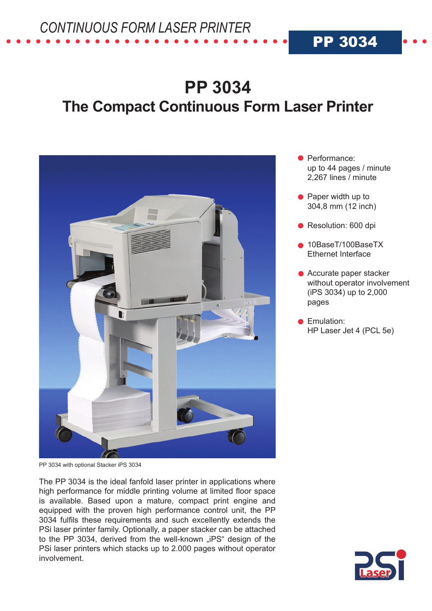*CONTINUOUS FORM LASER PRINTER*

# **PP 3034 The Compact Continuous Form Laser Printer**



PP 3034 with optional Stacker iPS 3034

The PP 3034 is the ideal fanfold laser printer in applications where high performance for middle printing volume at limited floor space is available. Based upon a mature, compact print engine and equipped with the proven high performance control unit, the PP 3034 fulfils these requirements and such excellently extends the PSi laser printer family. Optionally, a paper stacker can be attached to the PP 3034, derived from the well-known "iPS" design of the PSi laser printers which stacks up to 2.000 pages without operator involvement.

**•** Performance: up to 44 pages / minute 2,267 lines / minute

PP 3034

- Paper width up to 304,8 mm (12 inch)
- Resolution: 600 dpi
- 10BaseT/100BaseTX Ethernet Interface
- Accurate paper stacker without operator involvement (iPS 3034) up to 2,000 pages
- **Emulation:** HP Laser Jet 4 (PCL 5e)